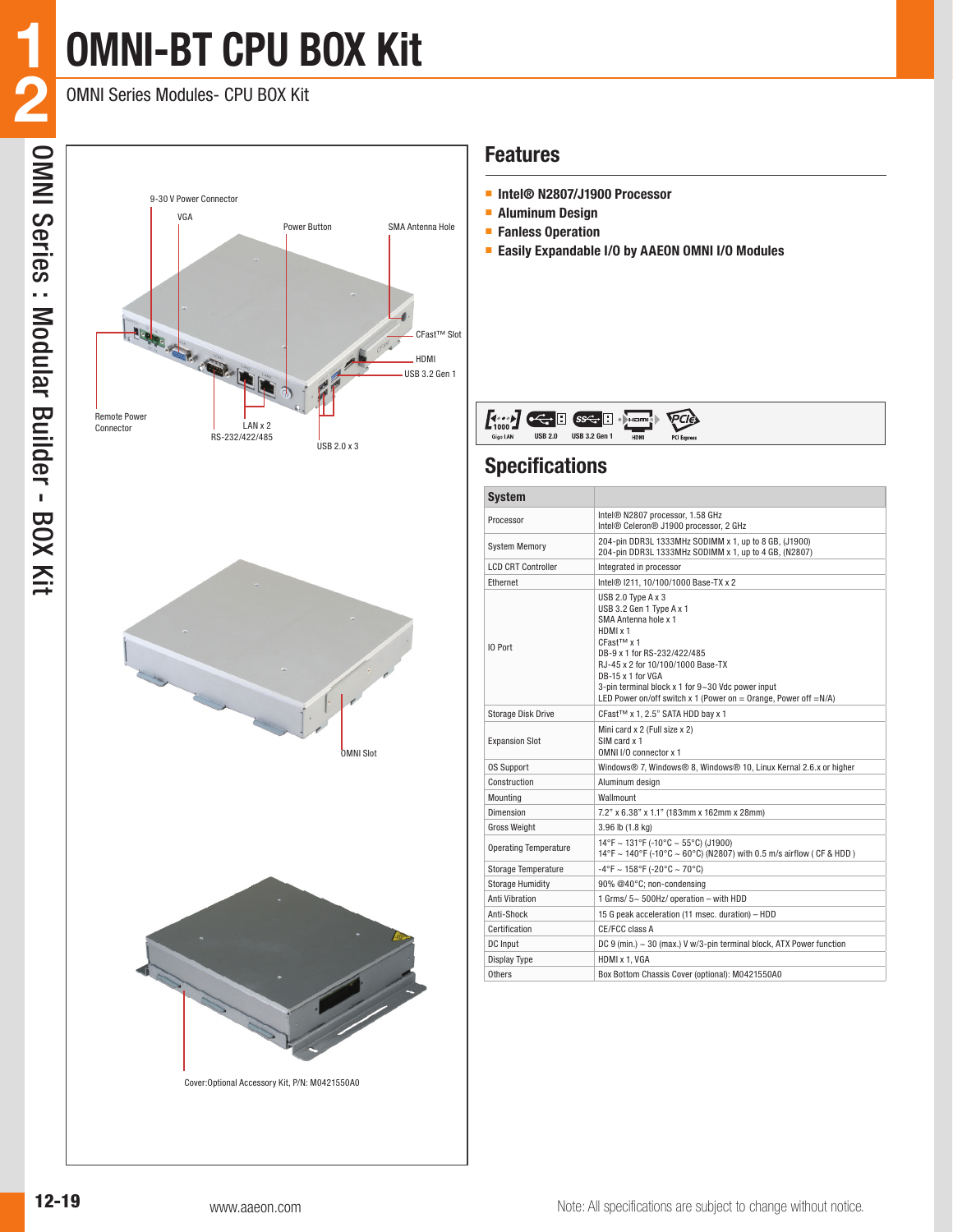# **OMNI-BT CPU BOX Kit**

OMNI Series Modules- CPU BOX Kit

**1**







Cover:Optional Accessory Kit, P/N: M0421550A0

### **Features**

- **Intel® N2807/J1900 Processor**
- **Aluminum Design**
- **Fanless Operation**
- **Easily Expandable I/O by AAEON OMNI I/O Modules**

|  | <b>Take</b><br>$\mathbf{I}$ $\cdots$<br>∼<br><b>USB 2.0</b><br>Giga LAN | In<br>$s \leftarrow \blacksquare$<br><b>USB 3.2 Gen 1</b> | « Hami-<br>HDM | $TCI$ <sub>E</sub><br><b>PCI Express</b> |  |
|--|-------------------------------------------------------------------------|-----------------------------------------------------------|----------------|------------------------------------------|--|
|--|-------------------------------------------------------------------------|-----------------------------------------------------------|----------------|------------------------------------------|--|

### **Specifications**

| <b>System</b>                |                                                                                                                                                                                                                                                                                                                                          |
|------------------------------|------------------------------------------------------------------------------------------------------------------------------------------------------------------------------------------------------------------------------------------------------------------------------------------------------------------------------------------|
| Processor                    | Intel® N2807 processor, 1.58 GHz<br>Intel® Celeron® J1900 processor, 2 GHz                                                                                                                                                                                                                                                               |
| <b>System Memory</b>         | 204-pin DDR3L 1333MHz SODIMM x 1, up to 8 GB, (J1900)<br>204-pin DDR3L 1333MHz SODIMM x 1, up to 4 GB, (N2807)                                                                                                                                                                                                                           |
| <b>LCD CRT Controller</b>    | Integrated in processor                                                                                                                                                                                                                                                                                                                  |
| Ethernet                     | Intel® I211, 10/100/1000 Base-TX x 2                                                                                                                                                                                                                                                                                                     |
| IO Port                      | USB 2.0 Type $A \times 3$<br>USB 3.2 Gen 1 Type A x 1<br>SMA Antenna hole x 1<br>HDMI x 1<br>CFast <sup>™</sup> x 1<br>DB-9 x 1 for RS-232/422/485<br>RJ-45 x 2 for 10/100/1000 Base-TX<br>DB-15 x 1 for VGA<br>3-pin terminal block x 1 for 9~30 Vdc power input<br>LED Power on/off switch x 1 (Power on = Orange, Power off = $N/A$ ) |
| <b>Storage Disk Drive</b>    | CFast™ x 1, 2.5" SATA HDD bay x 1                                                                                                                                                                                                                                                                                                        |
| <b>Expansion Slot</b>        | Mini card x 2 (Full size x 2)<br>SIM card x 1<br>OMNI I/O connector x 1                                                                                                                                                                                                                                                                  |
| <b>OS Support</b>            | Windows® 7, Windows® 8, Windows® 10, Linux Kernal 2.6.x or higher                                                                                                                                                                                                                                                                        |
| Construction                 | Aluminum desian                                                                                                                                                                                                                                                                                                                          |
| Mounting                     | Wallmount                                                                                                                                                                                                                                                                                                                                |
| Dimension                    | 7.2" x 6.38" x 1.1" (183mm x 162mm x 28mm)                                                                                                                                                                                                                                                                                               |
| <b>Gross Weight</b>          | 3.96 lb (1.8 kg)                                                                                                                                                                                                                                                                                                                         |
| <b>Operating Temperature</b> | 14°F ~ 131°F (-10°C ~ 55°C) (J1900)<br>14°F ~ 140°F (-10°C ~ 60°C) (N2807) with 0.5 m/s airflow ( CF & HDD )                                                                                                                                                                                                                             |
| Storage Temperature          | $-4$ °F ~ 158°F (-20°C ~ 70°C)                                                                                                                                                                                                                                                                                                           |
| <b>Storage Humidity</b>      | 90% @40°C: non-condensing                                                                                                                                                                                                                                                                                                                |
| Anti Vibration               | 1 Grms/ 5~ 500Hz/ operation - with HDD                                                                                                                                                                                                                                                                                                   |
| Anti-Shock                   | 15 G peak acceleration (11 msec. duration) - HDD                                                                                                                                                                                                                                                                                         |
| Certification                | CE/FCC class A                                                                                                                                                                                                                                                                                                                           |
| DC Input                     | DC 9 (min.) ~ 30 (max.) V w/3-pin terminal block, ATX Power function                                                                                                                                                                                                                                                                     |
| Display Type                 | HDMI x 1, VGA                                                                                                                                                                                                                                                                                                                            |
| Others                       | Box Bottom Chassis Cover (optional): M0421550A0                                                                                                                                                                                                                                                                                          |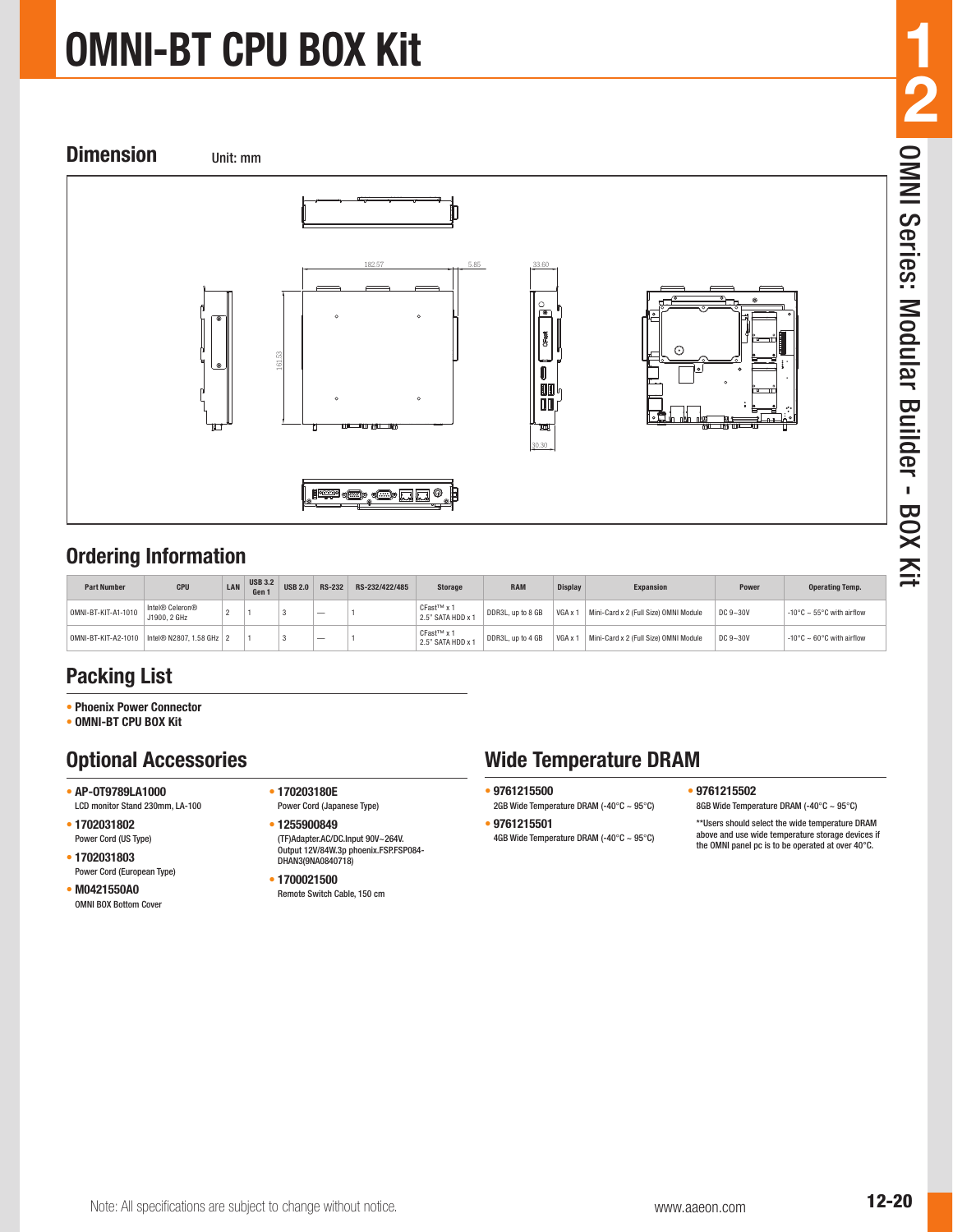# **OMNI-BT CPU BOX Kit**



### **Ordering Information**

| <b>Part Number</b>  | CPU                                              | LAN | <b>USB 3.2</b><br>Gen 1 | <b>USB 2.0</b> | <b>RS-232</b>            | RS-232/422/485 | <b>Storage</b>                              | <b>RAM</b>        | <b>Display</b> | <b>Expansion</b>                      | Power    | <b>Operating Temp.</b>         |
|---------------------|--------------------------------------------------|-----|-------------------------|----------------|--------------------------|----------------|---------------------------------------------|-------------------|----------------|---------------------------------------|----------|--------------------------------|
| 0MNI-BT-KIT-A1-1010 | Intel® Celeron®<br>J1900, 2 GHz                  |     |                         |                | $\overline{\phantom{a}}$ |                | CFast <sup>™</sup> x 1<br>2.5" SATA HDD x 1 | DDR3L, up to 8 GB | VGA x 1        | Mini-Card x 2 (Full Size) OMNI Module | DC 9~30V | -10°C ~ 55°C with airflow      |
|                     | OMNI-BT-KIT-A2-1010   Intel® N2807, 1.58 GHz   2 |     |                         |                | $\overline{\phantom{a}}$ |                | CFast <sup>™</sup> x 1<br>2.5" SATA HDD x 1 | DDR3L, up to 4 GB | VGA x 1        | Mini-Card x 2 (Full Size) OMNI Module | DC 9~30V | -10°C $\sim$ 60°C with airflow |

### **Packing List**

- **• Phoenix Power Connector**
- **• OMNI-BT CPU BOX Kit**

### **Optional Accessories**

- **• AP-OT9789LA1000** LCD monitor Stand 230mm, LA-100
- **• 1702031802** Power Cord (US Type)
- **• 1702031803**
- Power Cord (European Type) **• M0421550A0**
- OMNI BOX Bottom Cover
- **• 170203180E**  Power Cord (Japanese Type)
- **• 1255900849** (TF)Adapter.AC/DC.Input 90V~264V. Output 12V/84W.3p phoenix.FSP.FSP084- DHAN3(9NA0840718)
- **• 1700021500** Remote Switch Cable, 150 cm

## **Wide Temperature DRAM**

- **• 9761215500**
- 2GB Wide Temperature DRAM (-40°C ~ 95°C) **• 9761215501**
- 4GB Wide Temperature DRAM (-40°C ~ 95°C)

# **1 2** OMNI Series: Modular Builder - BOX Kit

- 
- **• 9761215502** 8GB Wide Temperature DRAM (-40°C ~ 95°C)

\*\*Users should select the wide temperature DRAM above and use wide temperature storage devices if the OMNI panel pc is to be operated at over 40°C.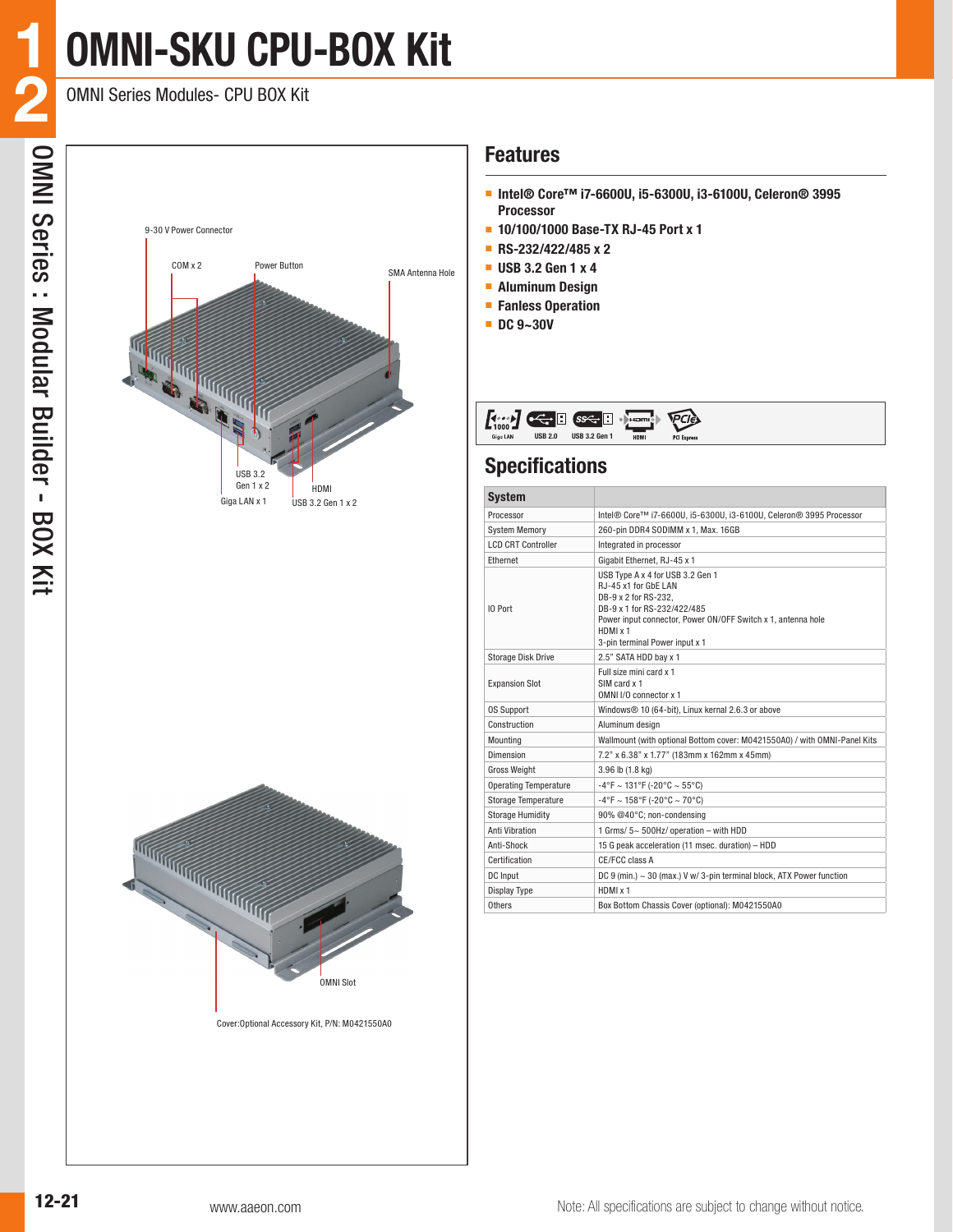# **OMNI-SKU CPU-BOX Kit**

OMNI Series Modules- CPU BOX Kit

**1**





Cover:Optional Accessory Kit, P/N: M0421550A0

### **Features**

- **Intel® Core™ i7-6600U, i5-6300U, i3-6100U, Celeron® 3995 Processor**
- **10/100/1000 Base-TX RJ-45 Port x 1**
- **RS-232/422/485 x 2**
- **USB 3.2 Gen 1 x 4**
- **Aluminum Design**
- **Fanless Operation**
- **DC 9~30V**

### **Specifications**

| <b>System</b>                |                                                                                                                                                                                                                               |
|------------------------------|-------------------------------------------------------------------------------------------------------------------------------------------------------------------------------------------------------------------------------|
| Processor                    | Intel® Core™ i7-6600U, i5-6300U, i3-6100U, Celeron® 3995 Processor                                                                                                                                                            |
| <b>System Memory</b>         | 260-pin DDR4 SODIMM x 1, Max. 16GB                                                                                                                                                                                            |
| <b>LCD CRT Controller</b>    | Integrated in processor                                                                                                                                                                                                       |
| Ethernet                     | Gigabit Ethernet, RJ-45 x 1                                                                                                                                                                                                   |
| IO Port                      | USB Type A x 4 for USB 3.2 Gen 1<br>RJ-45 x1 for GbE LAN<br>DB-9 x 2 for RS-232.<br>DB-9 x 1 for RS-232/422/485<br>Power input connector, Power ON/OFF Switch x 1, antenna hole<br>HDMI x 1<br>3-pin terminal Power input x 1 |
| <b>Storage Disk Drive</b>    | 2.5" SATA HDD bay x 1                                                                                                                                                                                                         |
| <b>Expansion Slot</b>        | Full size mini card x 1<br>SIM card x 1<br>OMNI I/O connector x 1                                                                                                                                                             |
| <b>OS Support</b>            | Windows® 10 (64-bit), Linux kernal 2.6.3 or above                                                                                                                                                                             |
| Construction                 | Aluminum design                                                                                                                                                                                                               |
| Mounting                     | Wallmount (with optional Bottom cover: M0421550A0) / with OMNI-Panel Kits                                                                                                                                                     |
| Dimension                    | 7.2" x 6.38" x 1.77" (183mm x 162mm x 45mm)                                                                                                                                                                                   |
| <b>Gross Weight</b>          | 3.96 lb (1.8 kg)                                                                                                                                                                                                              |
| <b>Operating Temperature</b> | $-4^{\circ}$ F ~ 131°F (-20°C ~ 55°C)                                                                                                                                                                                         |
| <b>Storage Temperature</b>   | $-4^{\circ}$ F ~ 158°F (-20°C ~ 70°C)                                                                                                                                                                                         |
| <b>Storage Humidity</b>      | 90% @40°C; non-condensing                                                                                                                                                                                                     |
| <b>Anti Vibration</b>        | 1 Grms/ 5~ 500Hz/ operation - with HDD                                                                                                                                                                                        |
| Anti-Shock                   | 15 G peak acceleration (11 msec. duration) - HDD                                                                                                                                                                              |
| Certification                | CE/FCC class A                                                                                                                                                                                                                |
| DC Input                     | DC 9 (min.) ~ 30 (max.) V w/ 3-pin terminal block, ATX Power function                                                                                                                                                         |
| <b>Display Type</b>          | HDMI x 1                                                                                                                                                                                                                      |
| Others                       | Box Bottom Chassis Cover (optional): M0421550A0                                                                                                                                                                               |